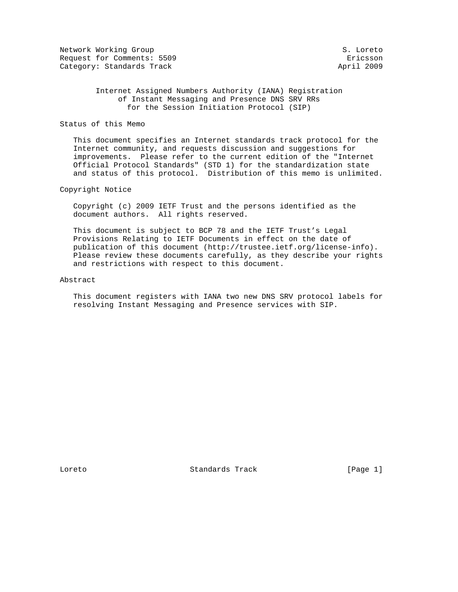Network Working Group S. Loreto Request for Comments: 5509 **Example 2018** Extends and Extends of Extending Extends of Extending Extends of Extends Category: Standards Track April 2009

### Internet Assigned Numbers Authority (IANA) Registration of Instant Messaging and Presence DNS SRV RRs for the Session Initiation Protocol (SIP)

#### Status of this Memo

 This document specifies an Internet standards track protocol for the Internet community, and requests discussion and suggestions for improvements. Please refer to the current edition of the "Internet Official Protocol Standards" (STD 1) for the standardization state and status of this protocol. Distribution of this memo is unlimited.

### Copyright Notice

 Copyright (c) 2009 IETF Trust and the persons identified as the document authors. All rights reserved.

 This document is subject to BCP 78 and the IETF Trust's Legal Provisions Relating to IETF Documents in effect on the date of publication of this document (http://trustee.ietf.org/license-info). Please review these documents carefully, as they describe your rights and restrictions with respect to this document.

#### Abstract

 This document registers with IANA two new DNS SRV protocol labels for resolving Instant Messaging and Presence services with SIP.

Loreto Standards Track [Page 1]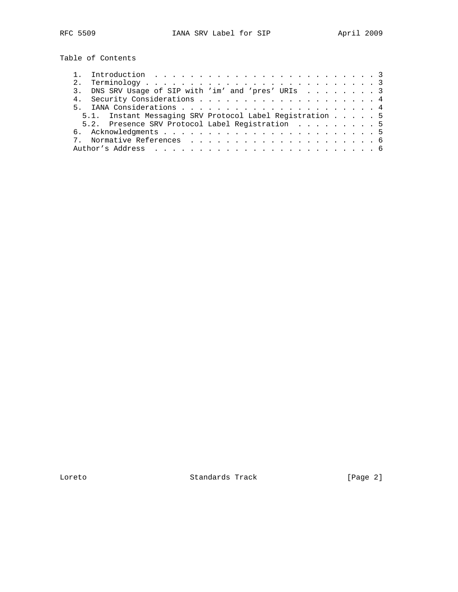Table of Contents

|  | 3. DNS SRV Usage of SIP with 'im' and 'pres' URIs 3      |  |
|--|----------------------------------------------------------|--|
|  |                                                          |  |
|  |                                                          |  |
|  | 5.1. Instant Messaging SRV Protocol Label Registration 5 |  |
|  | 5.2. Presence SRV Protocol Label Registration 5          |  |
|  |                                                          |  |
|  |                                                          |  |
|  |                                                          |  |
|  |                                                          |  |

Loreto Standards Track [Page 2]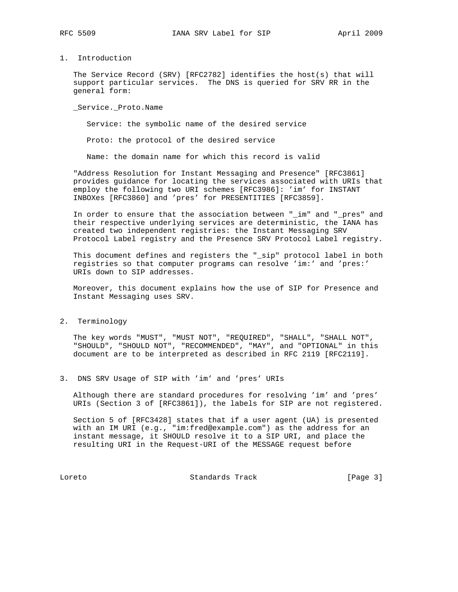# 1. Introduction

 The Service Record (SRV) [RFC2782] identifies the host(s) that will support particular services. The DNS is queried for SRV RR in the general form:

\_Service.\_Proto.Name

Service: the symbolic name of the desired service

Proto: the protocol of the desired service

Name: the domain name for which this record is valid

 "Address Resolution for Instant Messaging and Presence" [RFC3861] provides guidance for locating the services associated with URIs that employ the following two URI schemes [RFC3986]: 'im' for INSTANT INBOXes [RFC3860] and 'pres' for PRESENTITIES [RFC3859].

 In order to ensure that the association between "\_im" and "\_pres" and their respective underlying services are deterministic, the IANA has created two independent registries: the Instant Messaging SRV Protocol Label registry and the Presence SRV Protocol Label registry.

 This document defines and registers the "\_sip" protocol label in both registries so that computer programs can resolve 'im:' and 'pres:' URIs down to SIP addresses.

 Moreover, this document explains how the use of SIP for Presence and Instant Messaging uses SRV.

2. Terminology

 The key words "MUST", "MUST NOT", "REQUIRED", "SHALL", "SHALL NOT", "SHOULD", "SHOULD NOT", "RECOMMENDED", "MAY", and "OPTIONAL" in this document are to be interpreted as described in RFC 2119 [RFC2119].

3. DNS SRV Usage of SIP with 'im' and 'pres' URIs

 Although there are standard procedures for resolving 'im' and 'pres' URIs (Section 3 of [RFC3861]), the labels for SIP are not registered.

 Section 5 of [RFC3428] states that if a user agent (UA) is presented with an IM URI (e.g., "im:fred@example.com") as the address for an instant message, it SHOULD resolve it to a SIP URI, and place the resulting URI in the Request-URI of the MESSAGE request before

Loreto Standards Track [Page 3]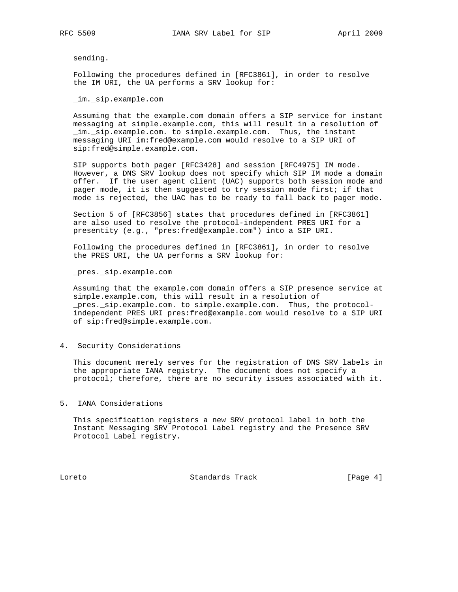sending.

 Following the procedures defined in [RFC3861], in order to resolve the IM URI, the UA performs a SRV lookup for:

\_im.\_sip.example.com

 Assuming that the example.com domain offers a SIP service for instant messaging at simple.example.com, this will result in a resolution of \_im.\_sip.example.com. to simple.example.com. Thus, the instant messaging URI im:fred@example.com would resolve to a SIP URI of sip:fred@simple.example.com.

 SIP supports both pager [RFC3428] and session [RFC4975] IM mode. However, a DNS SRV lookup does not specify which SIP IM mode a domain offer. If the user agent client (UAC) supports both session mode and pager mode, it is then suggested to try session mode first; if that mode is rejected, the UAC has to be ready to fall back to pager mode.

 Section 5 of [RFC3856] states that procedures defined in [RFC3861] are also used to resolve the protocol-independent PRES URI for a presentity (e.g., "pres:fred@example.com") into a SIP URI.

 Following the procedures defined in [RFC3861], in order to resolve the PRES URI, the UA performs a SRV lookup for:

\_pres.\_sip.example.com

 Assuming that the example.com domain offers a SIP presence service at simple.example.com, this will result in a resolution of pres. sip.example.com. to simple.example.com. Thus, the protocol independent PRES URI pres:fred@example.com would resolve to a SIP URI of sip:fred@simple.example.com.

4. Security Considerations

 This document merely serves for the registration of DNS SRV labels in the appropriate IANA registry. The document does not specify a protocol; therefore, there are no security issues associated with it.

5. IANA Considerations

 This specification registers a new SRV protocol label in both the Instant Messaging SRV Protocol Label registry and the Presence SRV Protocol Label registry.

Loreto Standards Track [Page 4]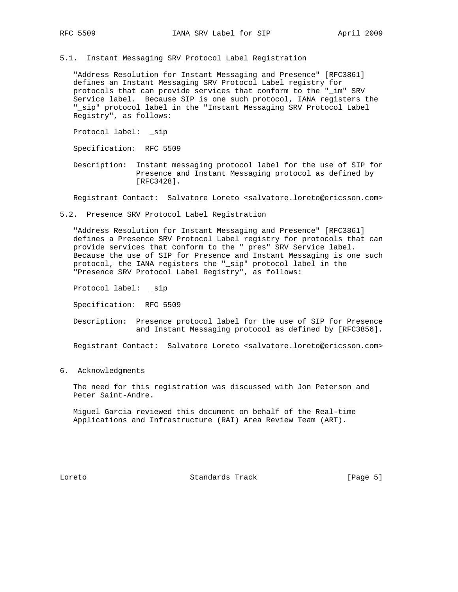5.1. Instant Messaging SRV Protocol Label Registration

 "Address Resolution for Instant Messaging and Presence" [RFC3861] defines an Instant Messaging SRV Protocol Label registry for protocols that can provide services that conform to the "\_im" SRV Service label. Because SIP is one such protocol, IANA registers the "\_sip" protocol label in the "Instant Messaging SRV Protocol Label Registry", as follows:

Protocol label: sip

Specification: RFC 5509

 Description: Instant messaging protocol label for the use of SIP for Presence and Instant Messaging protocol as defined by [RFC3428].

Registrant Contact: Salvatore Loreto <salvatore.loreto@ericsson.com>

5.2. Presence SRV Protocol Label Registration

 "Address Resolution for Instant Messaging and Presence" [RFC3861] defines a Presence SRV Protocol Label registry for protocols that can provide services that conform to the "\_pres" SRV Service label. Because the use of SIP for Presence and Instant Messaging is one such protocol, the IANA registers the "\_sip" protocol label in the "Presence SRV Protocol Label Registry", as follows:

Protocol label: \_sip

Specification: RFC 5509

 Description: Presence protocol label for the use of SIP for Presence and Instant Messaging protocol as defined by [RFC3856].

Registrant Contact: Salvatore Loreto <salvatore.loreto@ericsson.com>

6. Acknowledgments

 The need for this registration was discussed with Jon Peterson and Peter Saint-Andre.

 Miguel Garcia reviewed this document on behalf of the Real-time Applications and Infrastructure (RAI) Area Review Team (ART).

Loreto Standards Track [Page 5]